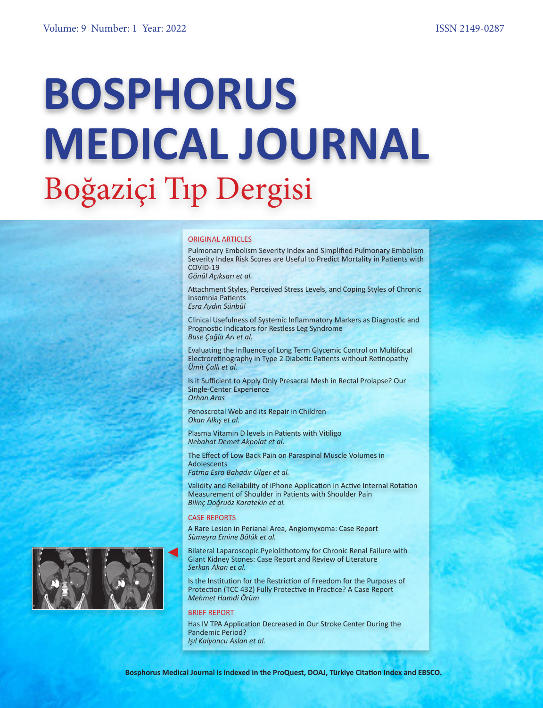## ORIGINAL ARTICLES

Pulmonary Embolism Severity Index and Simplified Pulmonary Embolism Severity Index Risk Scores are Useful to Predict Mortality in Patients with COVID-19

*Gönül Açıksarı et al.*

Attachment Styles, Perceived Stress Levels, and Coping Styles of Chronic Insomnia Patients *Esra Aydın Sünbül*

Clinical Usefulness of Systemic Inflammatory Markers as Diagnostic and Prognostic Indicators for Restless Leg Syndrome *Buse Çağla Arı et al.*

Evaluating the Influence of Long Term Glycemic Control on Multifocal Electroretinography in Type 2 Diabetic Patients without Retinopathy *Ümit Çallı et al.*

Is it Sufficient to Apply Only Presacral Mesh in Rectal Prolapse? Our Single-Center Experience *Orhan Aras*

Penoscrotal Web and its Repair in Children *Okan Alkış et al.*

Plasma Vitamin D levels in Patients with Vitiligo *Nebahat Demet Akpolat et al.*

The Effect of Low Back Pain on Paraspinal Muscle Volumes in Adolescents *Fatma Esra Bahadır Ülger et al.*

Validity and Reliability of iPhone Application in Active Internal Rotation Measurement of Shoulder in Patients with Shoulder Pain *Bilinç Doğruöz Karatekin et al.*

### CASE REPORTS

A Rare Lesion in Perianal Area, Angiomyxoma: Case Report *Sümeyra Emine Bölük et al.*

Bilateral Laparoscopic Pyelolithotomy for Chronic Renal Failure with Giant Kidney Stones: Case Report and Review of Literature *Serkan Akan et al.*

Is the Institution for the Restriction of Freedom for the Purposes of Protection (TCC 432) Fully Protective in Practice? A Case Report *Mehmet Hamdi Örüm*

### BRIEF REPORT

Has IV TPA Application Decreased in Our Stroke Center During the Pandemic Period? *Işıl Kalyoncu Aslan et al.*

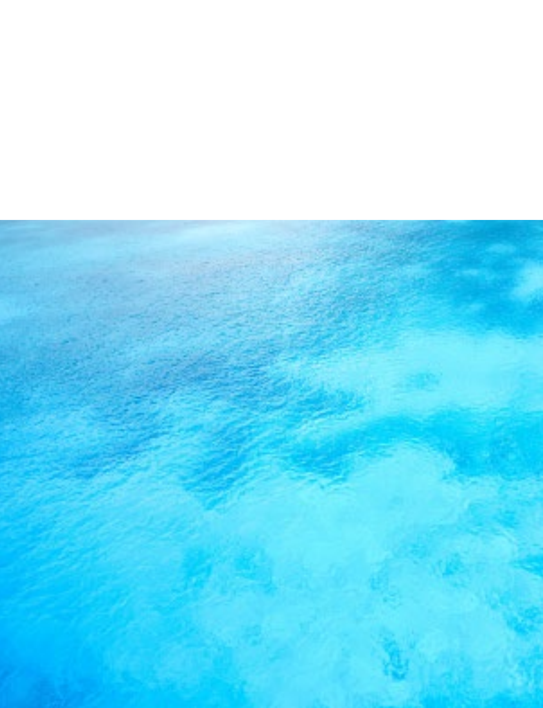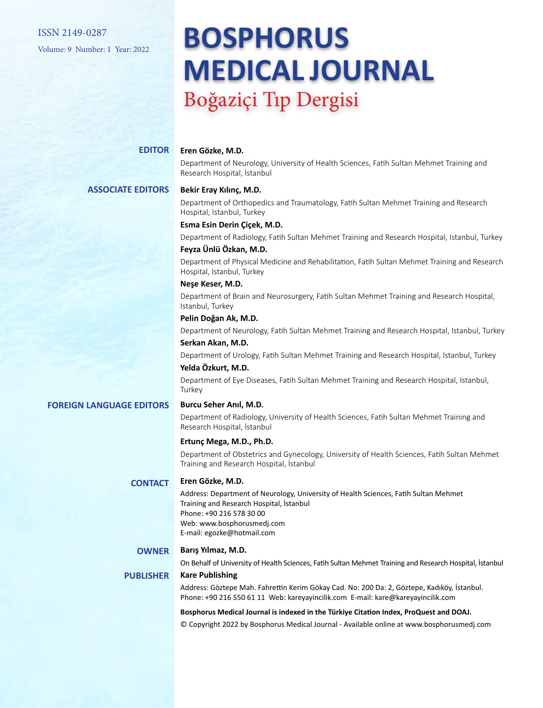## ISSN 2149-0287

Volume: 9 Number: 1 Year: 2022

## **BOSPHORUS MEDICAL JOURNAL** Boğaziçi Tıp Dergisi

**Eren Gözke, M.D.** Department of Neurology, University of Health Sciences, Fatih Sultan Mehmet Training and Research Hospital, İstanbul **Bekir Eray Kılınç, M.D.** Department of Orthopedics and Traumatology, Fatih Sultan Mehmet Training and Research Hospital, Istanbul, Turkey **Esma Esin Derin Çiçek, M.D.** Department of Radiology, Fatih Sultan Mehmet Training and Research Hospital, Istanbul, Turkey **Feyza Ünlü Özkan, M.D.** Department of Physical Medicine and Rehabilitation, Fatih Sultan Mehmet Training and Research Hospital, Istanbul, Turkey **Neşe Keser, M.D.** Department of Brain and Neurosurgery, Fatih Sultan Mehmet Training and Research Hospital, Istanbul, Turkey **Pelin Doğan Ak, M.D.** Department of Neurology, Fatih Sultan Mehmet Training and Research Hospital, Istanbul, Turkey **Serkan Akan, M.D.** Department of Urology, Fatih Sultan Mehmet Training and Research Hospital, Istanbul, Turkey **Yelda Özkurt, M.D.** Department of Eye Diseases, Fatih Sultan Mehmet Training and Research Hospital, Istanbul, **Turkey Burcu Seher Anıl, M.D.** Department of Radiology, University of Health Sciences, Fatih Sultan Mehmet Training and Research Hospital, İstanbul **Ertunç Mega, M.D., Ph.D.** Department of Obstetrics and Gynecology, University of Health Sciences, Fatih Sultan Mehmet Training and Research Hospital, İstanbul **Eren Gözke, M.D.** Address: Department of Neurology, University of Health Sciences, Fatih Sultan Mehmet Training and Research Hospital, İstanbul Phone: +90 216 578 30 00 Web: www.bosphorusmedj.com E-mail: egozke@hotmail.com **Barış Yılmaz, M.D.** On Behalf of University of Health Sciences, Fatih Sultan Mehmet Training and Research Hospital, İstanbul **Kare Publishing** Address: Göztepe Mah. Fahrettin Kerim Gökay Cad. No: 200 Da: 2, Göztepe, Kadıköy, İstanbul. Phone: +90 216 550 61 11 Web: kareyayincilik.com E-mail: kare@kareyayincilik.com **Bosphorus Medical Journal is indexed in the Türkiye Citation Index, ProQuest and DOAJ.** © Copyright 2022 by Bosphorus Medical Journal - Available online at www.bosphorusmedj.com **EDITOR ASSOCIATE EDITORS FOREIGN LANGUAGE EDITORS CONTACT PUBLISHER OWNER**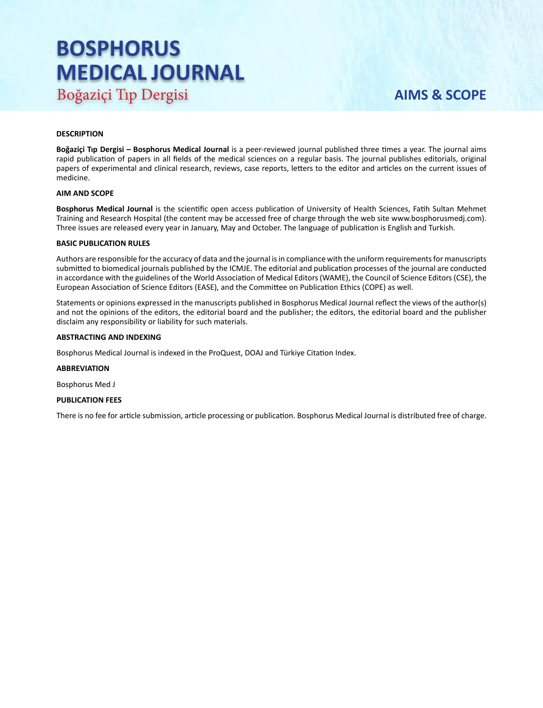## **DESCRIPTION**

**Boğaziçi Tıp Dergisi – Bosphorus Medical Journal** is a peer-reviewed journal published three times a year. The journal aims rapid publication of papers in all fields of the medical sciences on a regular basis. The journal publishes editorials, original papers of experimental and clinical research, reviews, case reports, letters to the editor and articles on the current issues of medicine.

## **AIM AND SCOPE**

**Bosphorus Medical Journal** is the scientific open access publication of University of Health Sciences, Fatih Sultan Mehmet Training and Research Hospital (the content may be accessed free of charge through the web site www.bosphorusmedj.com). Three issues are released every year in January, May and October. The language of publication is English and Turkish.

## **BASIC PUBLICATION RULES**

Authors are responsible for the accuracy of data and the journal is in compliance with the uniform requirements for manuscripts submitted to biomedical journals published by the ICMJE. The editorial and publication processes of the journal are conducted in accordance with the guidelines of the World Association of Medical Editors(WAME), the Council of Science Editors(CSE), the European Association of Science Editors (EASE), and the Committee on Publication Ethics (COPE) as well.

Statements or opinions expressed in the manuscripts published in Bosphorus Medical Journal reflect the views of the author(s) and not the opinions of the editors, the editorial board and the publisher; the editors, the editorial board and the publisher disclaim any responsibility or liability for such materials.

### **ABSTRACTING AND INDEXING**

Bosphorus Medical Journal is indexed in the ProQuest, DOAJ and Türkiye Citation Index.

### **ABBREVIATION**

Bosphorus Med J

## **PUBLICATION FEES**

There is no fee for article submission, article processing or publication. Bosphorus Medical Journal is distributed free of charge.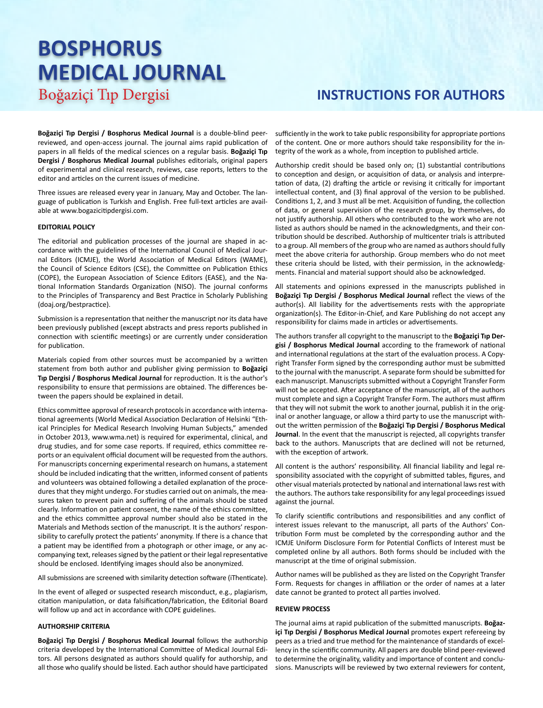## **INSTRUCTIONS FOR AUTHORS**

**Boğaziçi Tıp Dergisi / Bosphorus Medical Journal** is a double-blind peerreviewed, and open-access journal. The journal aims rapid publication of papers in all fields of the medical sciences on a regular basis. **Boğaziçi Tıp Dergisi / Bosphorus Medical Journal** publishes editorials, original papers of experimental and clinical research, reviews, case reports, letters to the editor and articles on the current issues of medicine.

Three issues are released every year in January, May and October. The language of publication is Turkish and English. Free full-text articles are available at www.bogazicitipdergisi.com.

### **EDITORIAL POLICY**

The editorial and publication processes of the journal are shaped in accordance with the guidelines of the International Council of Medical Journal Editors (ICMJE), the World Association of Medical Editors (WAME), the Council of Science Editors (CSE), the Committee on Publication Ethics (COPE), the European Association of Science Editors (EASE), and the National Information Standards Organization (NISO). The journal conforms to the Principles of Transparency and Best Practice in Scholarly Publishing (doaj.org/bestpractice).

Submission is a representation that neither the manuscript nor its data have been previously published (except abstracts and press reports published in connection with scientific meetings) or are currently under consideration for publication.

Materials copied from other sources must be accompanied by a written statement from both author and publisher giving permission to **Boğaziçi Tıp Dergisi / Bosphorus Medical Journal** for reproduction. It is the author's responsibility to ensure that permissions are obtained. The differences between the papers should be explained in detail.

Ethics committee approval of research protocols in accordance with international agreements (World Medical Association Declaration of Helsinki "Ethical Principles for Medical Research Involving Human Subjects," amended in October 2013, www.wma.net) is required for experimental, clinical, and drug studies, and for some case reports. If required, ethics committee reports or an equivalent official document will be requested from the authors. For manuscripts concerning experimental research on humans, a statement should be included indicating that the written, informed consent of patients and volunteers was obtained following a detailed explanation of the procedures that they might undergo. For studies carried out on animals, the measures taken to prevent pain and suffering of the animals should be stated clearly. Information on patient consent, the name of the ethics committee, and the ethics committee approval number should also be stated in the Materials and Methods section of the manuscript. It is the authors' responsibility to carefully protect the patients' anonymity. If there is a chance that a patient may be identified from a photograph or other image, or any accompanying text, releases signed by the patient or their legal representative should be enclosed. Identifying images should also be anonymized.

All submissions are screened with similarity detection software (iThenticate).

In the event of alleged or suspected research misconduct, e.g., plagiarism, citation manipulation, or data falsification/fabrication, the Editorial Board will follow up and act in accordance with COPE guidelines.

## **AUTHORSHIP CRITERIA**

**Boğaziçi Tıp Dergisi / Bosphorus Medical Journal** follows the authorship criteria developed by the International Committee of Medical Journal Editors. All persons designated as authors should qualify for authorship, and all those who qualify should be listed. Each author should have participated sufficiently in the work to take public responsibility for appropriate portions of the content. One or more authors should take responsibility for the integrity of the work as a whole, from inception to published article.

Authorship credit should be based only on; (1) substantial contributions to conception and design, or acquisition of data, or analysis and interpretation of data, (2) drafting the article or revising it critically for important intellectual content, and (3) final approval of the version to be published. Conditions 1, 2, and 3 must all be met. Acquisition of funding, the collection of data, or general supervision of the research group, by themselves, do not justify authorship. All others who contributed to the work who are not listed as authors should be named in the acknowledgments, and their contribution should be described. Authorship of multicenter trials is attributed to a group. All members of the group who are named as authors should fully meet the above criteria for authorship. Group members who do not meet these criteria should be listed, with their permission, in the acknowledgments. Financial and material support should also be acknowledged.

All statements and opinions expressed in the manuscripts published in **Boğaziçi Tıp Dergisi / Bosphorus Medical Journal** reflect the views of the author(s). All liability for the advertisements rests with the appropriate organization(s). The Editor-in-Chief, and Kare Publishing do not accept any responsibility for claims made in articles or advertisements.

The authors transfer all copyright to the manuscript to the **Boğaziçi Tıp Dergisi / Bosphorus Medical Journal** according to the framework of national and international regulations at the start of the evaluation process. A Copyright Transfer Form signed by the corresponding author must be submitted to the journal with the manuscript. A separate form should be submitted for each manuscript. Manuscripts submitted without a Copyright Transfer Form will not be accepted. After acceptance of the manuscript, all of the authors must complete and sign a Copyright Transfer Form. The authors must affirm that they will not submit the work to another journal, publish it in the original or another language, or allow a third party to use the manuscript without the written permission of the **Boğaziçi Tıp Dergisi / Bosphorus Medical Journal**. In the event that the manuscript is rejected, all copyrights transfer back to the authors. Manuscripts that are declined will not be returned, with the exception of artwork.

All content is the authors' responsibility. All financial liability and legal responsibility associated with the copyright of submitted tables, figures, and other visual materials protected by national and international lawsrest with the authors. The authors take responsibility for any legal proceedings issued against the journal.

To clarify scientific contributions and responsibilities and any conflict of interest issues relevant to the manuscript, all parts of the Authors' Contribution Form must be completed by the corresponding author and the ICMJE Uniform Disclosure Form for Potential Conflicts of Interest must be completed online by all authors. Both forms should be included with the manuscript at the time of original submission.

Author names will be published as they are listed on the Copyright Transfer Form. Requests for changes in affiliation or the order of names at a later date cannot be granted to protect all parties involved.

#### **REVIEW PROCESS**

The journal aims at rapid publication of the submitted manuscripts. **Boğaziçi Tıp Dergisi / Bosphorus Medical Journal** promotes expert refereeing by peers as a tried and true method for the maintenance of standards of excellency in the scientific community. All papers are double blind peer-reviewed to determine the originality, validity and importance of content and conclusions. Manuscripts will be reviewed by two external reviewers for content,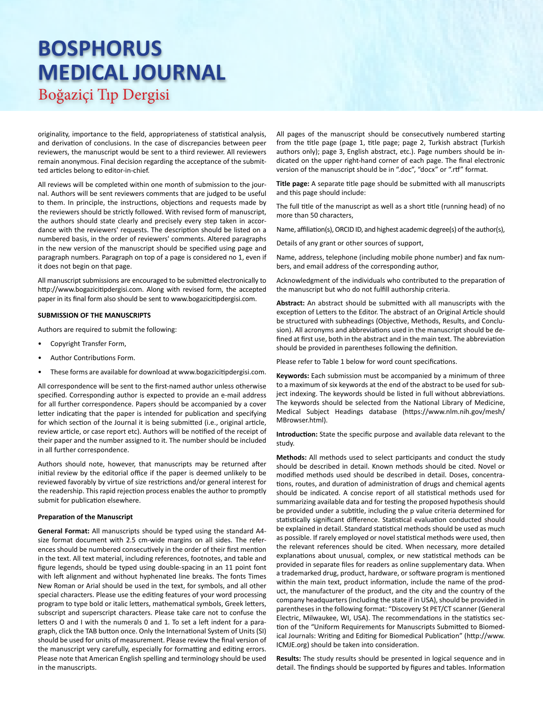originality, importance to the field, appropriateness of statistical analysis, and derivation of conclusions. In the case of discrepancies between peer reviewers, the manuscript would be sent to a third reviewer. All reviewers remain anonymous. Final decision regarding the acceptance of the submitted articles belong to editor-in-chief.

All reviews will be completed within one month of submission to the journal. Authors will be sent reviewers comments that are judged to be useful to them. In principle, the instructions, objections and requests made by the reviewers should be strictly followed. With revised form of manuscript, the authors should state clearly and precisely every step taken in accordance with the reviewers' requests. The description should be listed on a numbered basis, in the order of reviewers' comments. Altered paragraphs in the new version of the manuscript should be specified using page and paragraph numbers. Paragraph on top of a page is considered no 1, even if it does not begin on that page.

All manuscript submissions are encouraged to be submitted electronically to http://www.bogazicitipdergisi.com. Along with revised form, the accepted paper in its final form also should be sent to www.bogazicitipdergisi.com.

#### **SUBMISSION OF THE MANUSCRIPTS**

Authors are required to submit the following:

- Copyright Transfer Form,
- Author Contributions Form.
- These forms are available for download at www.bogazicitipdergisi.com.

All correspondence will be sent to the first-named author unless otherwise specified. Corresponding author is expected to provide an e-mail address for all further correspondence. Papers should be accompanied by a cover letter indicating that the paper is intended for publication and specifying for which section of the Journal it is being submitted (i.e., original article, review article, or case report etc). Authors will be notified of the receipt of their paper and the number assigned to it. The number should be included in all further correspondence.

Authors should note, however, that manuscripts may be returned after initial review by the editorial office if the paper is deemed unlikely to be reviewed favorably by virtue of size restrictions and/or general interest for the readership. This rapid rejection process enables the author to promptly submit for publication elsewhere.

### **Preparation of the Manuscript**

**General Format:** All manuscripts should be typed using the standard A4 size format document with 2.5 cm-wide margins on all sides. The references should be numbered consecutively in the order of their first mention in the text. All text material, including references, footnotes, and table and figure legends, should be typed using double-spacing in an 11 point font with left alignment and without hyphenated line breaks. The fonts Times New Roman or Arial should be used in the text, for symbols, and all other special characters. Please use the editing features of your word processing program to type bold or italic letters, mathematical symbols, Greek letters, subscript and superscript characters. Please take care not to confuse the letters O and I with the numerals 0 and 1. To set a left indent for a paragraph, click the TAB button once. Only the International System of Units (SI) should be used for units of measurement. Please review the final version of the manuscript very carefully, especially for formatting and editing errors. Please note that American English spelling and terminology should be used in the manuscripts.

All pages of the manuscript should be consecutively numbered starting from the title page (page 1, title page; page 2, Turkish abstract (Turkish authors only); page 3, English abstract, etc.). Page numbers should be indicated on the upper right-hand corner of each page. The final electronic version of the manuscript should be in ".doc", "docx" or ".rtf" format.

**Title page:** A separate title page should be submitted with all manuscripts and this page should include:

The full title of the manuscript as well as a short title (running head) of no more than 50 characters,

Name, affiliation(s), ORCID ID, and highest academic degree(s) of the author(s),

Details of any grant or other sources of support,

Name, address, telephone (including mobile phone number) and fax numbers, and email address of the corresponding author,

Acknowledgment of the individuals who contributed to the preparation of the manuscript but who do not fulfill authorship criteria.

**Abstract:** An abstract should be submitted with all manuscripts with the exception of Letters to the Editor. The abstract of an Original Article should be structured with subheadings (Objective, Methods, Results, and Conclusion). All acronyms and abbreviations used in the manuscript should be defined at first use, both in the abstract and in the main text. The abbreviation should be provided in parentheses following the definition.

Please refer to Table 1 below for word count specifications.

**Keywords:** Each submission must be accompanied by a minimum of three to a maximum of six keywords at the end of the abstract to be used for subject indexing. The keywords should be listed in full without abbreviations. The keywords should be selected from the National Library of Medicine, Medical Subject Headings database (https://www.nlm.nih.gov/mesh/ MBrowser.html).

**Introduction:** State the specific purpose and available data relevant to the study.

**Methods:** All methods used to select participants and conduct the study should be described in detail. Known methods should be cited. Novel or modified methods used should be described in detail. Doses, concentrations, routes, and duration of administration of drugs and chemical agents should be indicated. A concise report of all statistical methods used for summarizing available data and for testing the proposed hypothesis should be provided under a subtitle, including the p value criteria determined for statistically significant difference. Statistical evaluation conducted should be explained in detail. Standard statistical methods should be used as much as possible. If rarely employed or novel statistical methods were used, then the relevant references should be cited. When necessary, more detailed explanations about unusual, complex, or new statistical methods can be provided in separate files for readers as online supplementary data. When a trademarked drug, product, hardware, or software program is mentioned within the main text, product information, include the name of the product, the manufacturer of the product, and the city and the country of the company headquarters (including the state if in USA), should be provided in parenthesesin the following format: "Discovery St PET/CT scanner (General Electric, Milwaukee, WI, USA). The recommendations in the statistics section of the "Uniform Requirements for Manuscripts Submitted to Biomedical Journals: Writing and Editing for Biomedical Publication" (http://www. ICMJE.org) should be taken into consideration.

**Results:** The study results should be presented in logical sequence and in detail. The findings should be supported by figures and tables. Information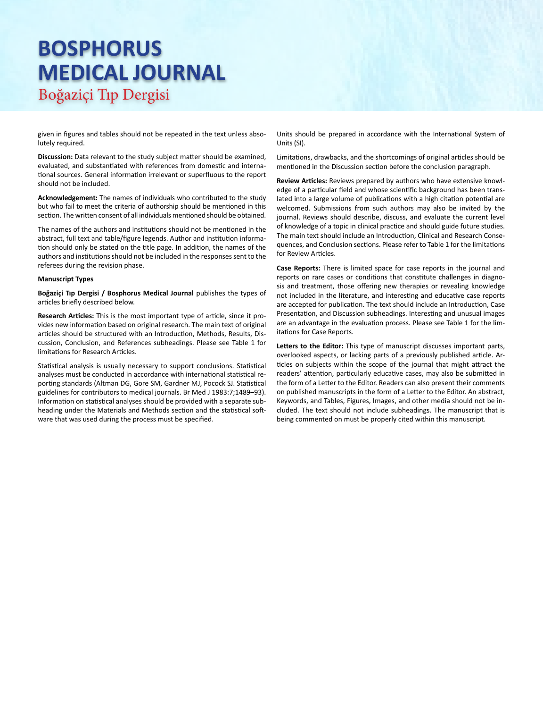given in figures and tables should not be repeated in the text unless absolutely required.

**Discussion:** Data relevant to the study subject matter should be examined, evaluated, and substantiated with references from domestic and international sources. General information irrelevant or superfluous to the report should not be included.

**Acknowledgement:** The names of individuals who contributed to the study but who fail to meet the criteria of authorship should be mentioned in this section. The written consent of all individuals mentioned should be obtained.

The names of the authors and institutions should not be mentioned in the abstract, full text and table/figure legends. Author and institution information should only be stated on the title page. In addition, the names of the authors and institutions should not be included in the responses sent to the referees during the revision phase.

#### **Manuscript Types**

**Boğaziçi Tıp Dergisi / Bosphorus Medical Journal** publishes the types of articles briefly described below.

**Research Articles:** This is the most important type of article, since it provides new information based on original research. The main text of original articles should be structured with an Introduction, Methods, Results, Discussion, Conclusion, and References subheadings. Please see Table 1 for limitations for Research Articles.

Statistical analysis is usually necessary to support conclusions. Statistical analyses must be conducted in accordance with international statistical reporting standards (Altman DG, Gore SM, Gardner MJ, Pocock SJ. Statistical guidelines for contributors to medical journals. Br Med J 1983:7;1489–93). Information on statistical analyses should be provided with a separate subheading under the Materials and Methods section and the statistical software that was used during the process must be specified.

Units should be prepared in accordance with the International System of Units (SI).

Limitations, drawbacks, and the shortcomings of original articles should be mentioned in the Discussion section before the conclusion paragraph.

**Review Articles:** Reviews prepared by authors who have extensive knowledge of a particular field and whose scientific background has been translated into a large volume of publications with a high citation potential are welcomed. Submissions from such authors may also be invited by the journal. Reviews should describe, discuss, and evaluate the current level of knowledge of a topic in clinical practice and should guide future studies. The main text should include an Introduction, Clinical and Research Consequences, and Conclusion sections. Please refer to Table 1 for the limitations for Review Articles.

**Case Reports:** There is limited space for case reports in the journal and reports on rare cases or conditions that constitute challenges in diagnosis and treatment, those offering new therapies or revealing knowledge not included in the literature, and interesting and educative case reports are accepted for publication. The text should include an Introduction, Case Presentation, and Discussion subheadings. Interesting and unusual images are an advantage in the evaluation process. Please see Table 1 for the limitations for Case Reports.

**Letters to the Editor:** This type of manuscript discusses important parts, overlooked aspects, or lacking parts of a previously published article. Articles on subjects within the scope of the journal that might attract the readers' attention, particularly educative cases, may also be submitted in the form of a Letter to the Editor. Readers can also present their comments on published manuscripts in the form of a Letter to the Editor. An abstract, Keywords, and Tables, Figures, Images, and other media should not be included. The text should not include subheadings. The manuscript that is being commented on must be properly cited within this manuscript.